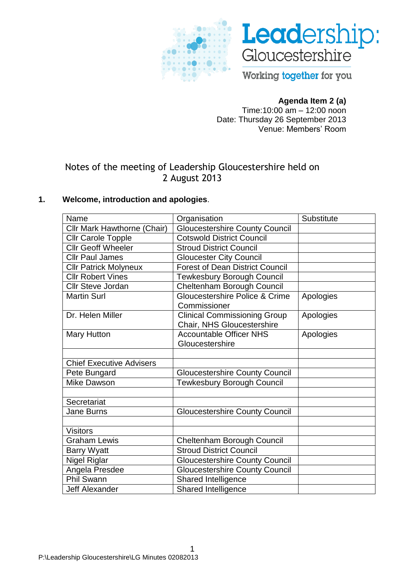



Working together for you

## **Agenda Item 2 (a)**

Time:10:00 am – 12:00 noon Date: Thursday 26 September 2013 Venue: Members' Room

# Notes of the meeting of Leadership Gloucestershire held on 2 August 2013

## **1. Welcome, introduction and apologies**.

| Name                               | Organisation                                      | Substitute |
|------------------------------------|---------------------------------------------------|------------|
| Cllr Mark Hawthorne (Chair)        | Gloucestershire County Council                    |            |
| <b>Cllr Carole Topple</b>          | <b>Cotswold District Council</b>                  |            |
| <b>Cllr Geoff Wheeler</b>          | <b>Stroud District Council</b>                    |            |
| <b>Cllr Paul James</b>             | <b>Gloucester City Council</b>                    |            |
| <b>Cllr Patrick Molyneux</b>       | <b>Forest of Dean District Council</b>            |            |
| <b>Cllr Robert Vines</b>           | <b>Tewkesbury Borough Council</b>                 |            |
| <b>Cllr Steve Jordan</b>           | Cheltenham Borough Council                        |            |
| <b>Martin Surl</b>                 | Gloucestershire Police & Crime<br>Commissioner    | Apologies  |
|                                    |                                                   |            |
| Dr. Helen Miller                   | <b>Clinical Commissioning Group</b>               | Apologies  |
|                                    | Chair, NHS Gloucestershire                        |            |
| <b>Mary Hutton</b>                 | <b>Accountable Officer NHS</b><br>Gloucestershire | Apologies  |
|                                    |                                                   |            |
| <b>Chief Executive Advisers</b>    |                                                   |            |
|                                    | Gloucestershire County Council                    |            |
| Pete Bungard<br><b>Mike Dawson</b> |                                                   |            |
|                                    | <b>Tewkesbury Borough Council</b>                 |            |
| Secretariat                        |                                                   |            |
| <b>Jane Burns</b>                  | <b>Gloucestershire County Council</b>             |            |
|                                    |                                                   |            |
| <b>Visitors</b>                    |                                                   |            |
| <b>Graham Lewis</b>                | Cheltenham Borough Council                        |            |
| <b>Barry Wyatt</b>                 | <b>Stroud District Council</b>                    |            |
| <b>Nigel Riglar</b>                | <b>Gloucestershire County Council</b>             |            |
| Angela Presdee                     | <b>Gloucestershire County Council</b>             |            |
| <b>Phil Swann</b>                  | <b>Shared Intelligence</b>                        |            |
| <b>Jeff Alexander</b>              | Shared Intelligence                               |            |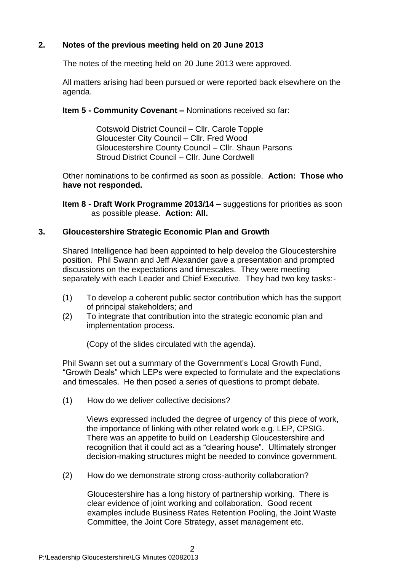## **2. Notes of the previous meeting held on 20 June 2013**

The notes of the meeting held on 20 June 2013 were approved.

All matters arising had been pursued or were reported back elsewhere on the agenda.

**Item 5 - Community Covenant –** Nominations received so far:

Cotswold District Council – Cllr. Carole Topple Gloucester City Council – Cllr. Fred Wood Gloucestershire County Council – Cllr. Shaun Parsons Stroud District Council – Cllr. June Cordwell

Other nominations to be confirmed as soon as possible. **Action: Those who have not responded.**

**Item 8 - Draft Work Programme 2013/14 –** suggestions for priorities as soon as possible please. **Action: All.**

#### **3. Gloucestershire Strategic Economic Plan and Growth**

Shared Intelligence had been appointed to help develop the Gloucestershire position. Phil Swann and Jeff Alexander gave a presentation and prompted discussions on the expectations and timescales. They were meeting separately with each Leader and Chief Executive. They had two key tasks:-

- (1) To develop a coherent public sector contribution which has the support of principal stakeholders; and
- (2) To integrate that contribution into the strategic economic plan and implementation process.

(Copy of the slides circulated with the agenda).

Phil Swann set out a summary of the Government's Local Growth Fund, "Growth Deals" which LEPs were expected to formulate and the expectations and timescales. He then posed a series of questions to prompt debate.

(1) How do we deliver collective decisions?

Views expressed included the degree of urgency of this piece of work, the importance of linking with other related work e.g. LEP, CPSIG. There was an appetite to build on Leadership Gloucestershire and recognition that it could act as a "clearing house". Ultimately stronger decision-making structures might be needed to convince government.

(2) How do we demonstrate strong cross-authority collaboration?

Gloucestershire has a long history of partnership working. There is clear evidence of joint working and collaboration. Good recent examples include Business Rates Retention Pooling, the Joint Waste Committee, the Joint Core Strategy, asset management etc.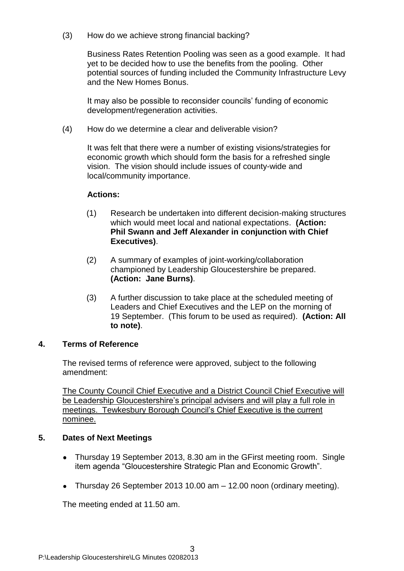(3) How do we achieve strong financial backing?

Business Rates Retention Pooling was seen as a good example. It had yet to be decided how to use the benefits from the pooling. Other potential sources of funding included the Community Infrastructure Levy and the New Homes Bonus.

It may also be possible to reconsider councils' funding of economic development/regeneration activities.

(4) How do we determine a clear and deliverable vision?

It was felt that there were a number of existing visions/strategies for economic growth which should form the basis for a refreshed single vision. The vision should include issues of county-wide and local/community importance.

#### **Actions:**

- (1) Research be undertaken into different decision-making structures which would meet local and national expectations. **(Action: Phil Swann and Jeff Alexander in conjunction with Chief Executives)**.
- (2) A summary of examples of joint-working/collaboration championed by Leadership Gloucestershire be prepared. **(Action: Jane Burns)**.
- (3) A further discussion to take place at the scheduled meeting of Leaders and Chief Executives and the LEP on the morning of 19 September. (This forum to be used as required). **(Action: All to note)**.

## **4. Terms of Reference**

The revised terms of reference were approved, subject to the following amendment:

The County Council Chief Executive and a District Council Chief Executive will be Leadership Gloucestershire's principal advisers and will play a full role in meetings. Tewkesbury Borough Council's Chief Executive is the current nominee.

## **5. Dates of Next Meetings**

- Thursday 19 September 2013, 8.30 am in the GFirst meeting room. Single  $\bullet$ item agenda "Gloucestershire Strategic Plan and Economic Growth".
- Thursday 26 September 2013 10.00 am 12.00 noon (ordinary meeting).  $\bullet$

The meeting ended at 11.50 am.